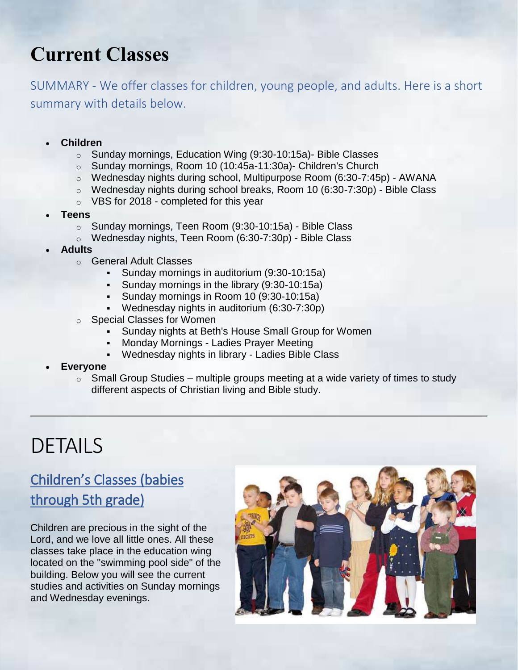# **Current Classe[s](https://highlandview.church/zz-update-pages/feature2-classes.htm)**

SUMMARY - We offer classes for children, young people, and adults. Here is a short summary with details below.

- **Children** 
	- o Sunday mornings, Education Wing (9:30-10:15a)- Bible Classes
	- o Sunday mornings, Room 10 (10:45a-11:30a)- Children's Church
	- o Wednesday nights during school, Multipurpose Room (6:30-7:45p) AWANA
	- o Wednesday nights during school breaks, Room 10 (6:30-7:30p) Bible Class
	- o VBS for 2018 completed for this year
- **Teens** 
	- o Sunday mornings, Teen Room (9:30-10:15a) Bible Class
	- o Wednesday nights, Teen Room (6:30-7:30p) Bible Class
- **Adults** 
	- o General Adult Classes
		- Sunday mornings in auditorium (9:30-10:15a)
		- **Sunday mornings in the library (9:30-10:15a)**
		- **Sunday mornings in Room 10 (9:30-10:15a)**
		- Wednesday nights in auditorium (6:30-7:30p)
	- o Special Classes for Women
		- Sunday nights at Beth's House Small Group for Women
		- **Monday Mornings Ladies Prayer Meeting**
		- Wednesday nights in library Ladies Bible Class
- **Everyone**
	- $\circ$  Small Group Studies multiple groups meeting at a wide variety of times to study different aspects of Christian living and Bible study.

# DETAILS

# Children's Classes (babies through 5th grade)

Children are precious in the sight of the Lord, and we love all little ones. All these classes take place in the education wing located on the "swimming pool side" of the building. Below you will see the current studies and activities on Sunday mornings and Wednesday evenings.

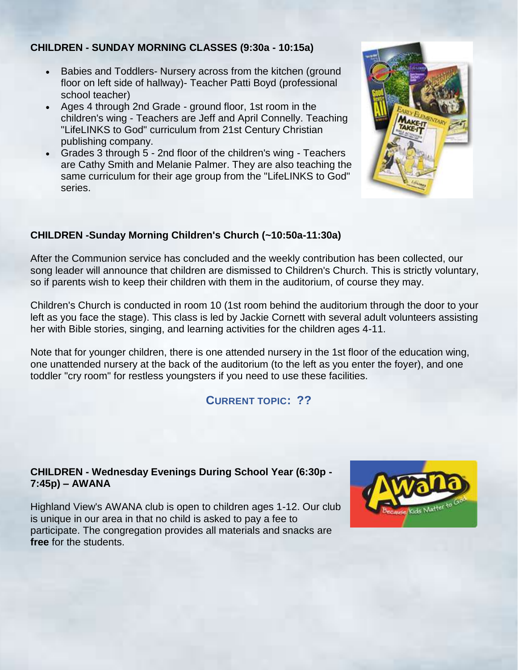#### **CHILDREN - SUNDAY MORNING CLASSES (9:30a - 10:15a)**

- Babies and Toddlers- Nursery across from the kitchen (ground floor on left side of hallway)- Teacher Patti Boyd (professional school teacher)
- Ages 4 through 2nd Grade ground floor, 1st room in the children's wing - Teachers are Jeff and April Connelly. Teaching "LifeLINKS to God" curriculum from 21st Century Christian publishing company.
- Grades 3 through 5 2nd floor of the children's wing Teachers are Cathy Smith and Melanie Palmer. They are also teaching the same curriculum for their age group from the "LifeLINKS to God" series.



#### **CHILDREN -Sunday Morning Children's Church (~10:50a-11:30a)**

After the Communion service has concluded and the weekly contribution has been collected, our song leader will announce that children are dismissed to Children's Church. This is strictly voluntary, so if parents wish to keep their children with them in the auditorium, of course they may.

Children's Church is conducted in room 10 (1st room behind the auditorium through the door to your left as you face the stage). This class is led by Jackie Cornett with several adult volunteers assisting her with Bible stories, singing, and learning activities for the children ages 4-11.

Note that for younger children, there is one attended nursery in the 1st floor of the education wing, one unattended nursery at the back of the auditorium (to the left as you enter the foyer), and one toddler "cry room" for restless youngsters if you need to use these facilities.

#### **CURRENT TOPIC: ??**

#### **CHILDREN - Wednesday Evenings During School Year (6:30p - 7:45p) – AWANA**

Highland View's AWANA club is open to children ages 1-12. Our club is unique in our area in that no child is asked to pay a fee to participate. The congregation provides all materials and snacks are **free** for the students.

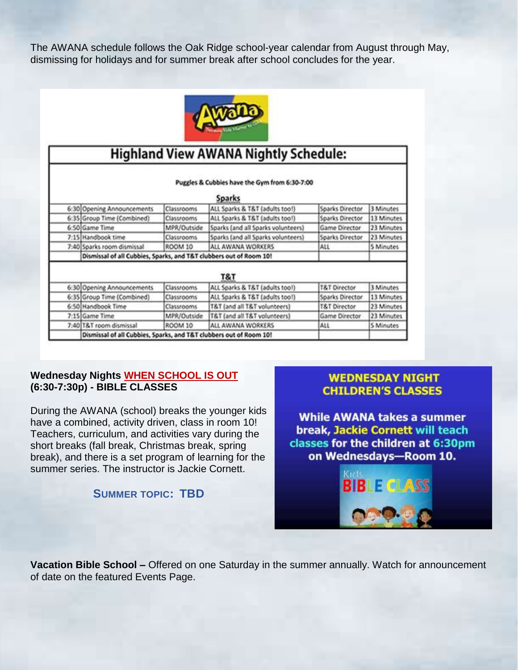The AWANA schedule follows the Oak Ridge school-year calendar from August through May, dismissing for holidays and for summer break after school concludes for the year.



| <b>Highland View AWANA Nightly Schedule:</b>                   |                                                                    |                   |                                    |                         |                  |
|----------------------------------------------------------------|--------------------------------------------------------------------|-------------------|------------------------------------|-------------------------|------------------|
| Puggles & Cubbies have the Gym from 6:30-7:00<br><b>Sparks</b> |                                                                    |                   |                                    |                         |                  |
|                                                                | 6:30 Opening Announcements                                         | Classrooms        | ALL Sparks & T&T (adults too!)     | Sparks Director         | 3 Minutes        |
|                                                                | 6:35 Group Time (Combined)                                         | <b>Classrooms</b> | ALL Sparks & T&T (adults too!)     | Sparks Director         | 13 Minutes       |
|                                                                | 6:50 Game Time                                                     | MPR/Outside       | Sparks (and all Sparks volunteers) | Game Director           | 23 Minutes       |
|                                                                | 7:15 Handbook time                                                 | Classrooms        | Sparks (and all Sparks volunteers) | Sparks Director         | 23 Minutes       |
|                                                                | 7:40 Sparks room dismissal                                         | <b>ROOM 10</b>    | ALL AWANA WORKERS                  | ALL                     | 5 Minutes        |
|                                                                | Dismissal of all Cubbies, Sparks, and T&T clubbers out of Room 10! |                   |                                    |                         |                  |
|                                                                |                                                                    |                   | T&T                                |                         |                  |
|                                                                | 6:30 Opening Announcements                                         | Classrooms        | ALL Sparks & T&T (adults too!)     | <b>T&amp;T Director</b> | 3 Minutes        |
|                                                                | 6:35 Group Time (Combined)                                         | Classrooms        | ALL Sparks & T&T (adults too!)     | Sparks Director         | 13 Minutes       |
|                                                                | 6:50 Handbook Time                                                 | <b>Classrooms</b> | T&T (and all T&T volunteers)       | <b>T&amp;T Director</b> | 23 Minutes       |
|                                                                | 7:15 Game Time                                                     | MPR/Outside       | T&T (and all T&T volunteers)       | Game Director           | 23 Minutes       |
|                                                                | 7:40 T&T room dismissal                                            | ROOM 10           | ALL AWANA WORKERS                  | ALL                     | <b>S</b> Minutes |
|                                                                | Dismissal of all Cubbies, Sparks, and T&T clubbers out of Room 10! |                   |                                    |                         |                  |

#### **Wednesday Nights WHEN SCHOOL IS OUT (6:30-7:30p) - BIBLE CLASSES**

During the AWANA (school) breaks the younger kids have a combined, activity driven, class in room 10! Teachers, curriculum, and activities vary during the short breaks (fall break, Christmas break, spring break), and there is a set program of learning for the summer series. The instructor is Jackie Cornett.

#### **SUMMER TOPIC: TBD**

#### **WEDNESDAY NIGHT CHILDREN'S CLASSES**

**While AWANA takes a summer** break, Jackie Cornett will teach classes for the children at 6:30pm on Wednesdays-Room 10.



**Vacation Bible School –** Offered on one Saturday in the summer annually. Watch for announcement of date on the featured Events Page.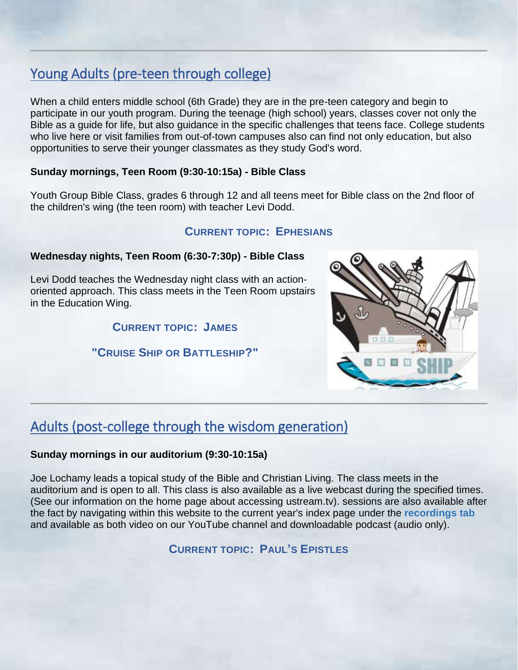# Young Adults (pre-teen through college)

When a child enters middle school (6th Grade) they are in the pre-teen category and begin to participate in our youth program. During the teenage (high school) years, classes cover not only the Bible as a guide for life, but also guidance in the specific challenges that teens face. College students who live here or visit families from out-of-town campuses also can find not only education, but also opportunities to serve their younger classmates as they study God's word.

#### **Sunday mornings, Teen Room (9:30-10:15a) - Bible Class**

Youth Group Bible Class, grades 6 through 12 and all teens meet for Bible class on the 2nd floor of the children's wing (the teen room) with teacher Levi Dodd.

#### **CURRENT TOPIC: EPHESIANS**

#### **Wednesday nights, Teen Room (6:30-7:30p) - Bible Class**

Levi Dodd teaches the Wednesday night class with an actionoriented approach. This class meets in the Teen Room upstairs in the Education Wing.

#### **CURRENT TOPIC: JAMES**

#### **"CRUISE SHIP OR BATTLESHIP?"**



# Adults (post-college through the wisdom generation)

#### **Sunday mornings in our auditorium (9:30-10:15a)**

Joe Lochamy leads a topical study of the Bible and Christian Living. The class meets in the auditorium and is open to all. This class is also available as a live webcast during the specified times. (See our information on the home page about accessing ustream.tv). sessions are also available after the fact by navigating within this website to the current year's index page under the **recordings tab** and available as both video on our YouTube channel and downloadable podcast (audio only).

**CURRENT TOPIC: PAUL'S EPISTLES**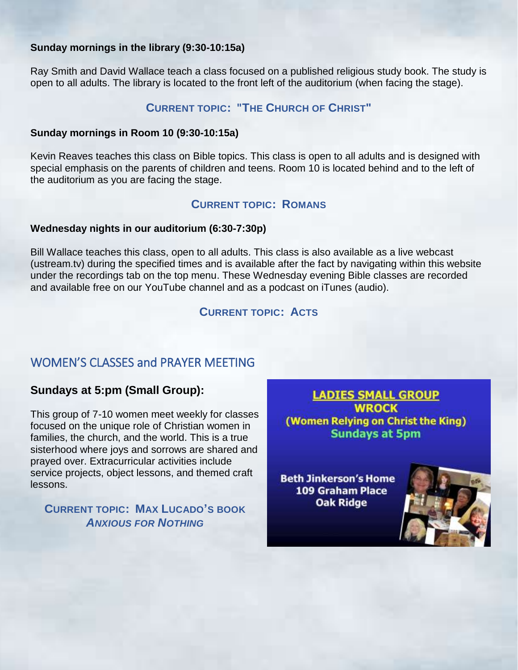#### **Sunday mornings in the library (9:30-10:15a)**

Ray Smith and David Wallace teach a class focused on a published religious study book. The study is open to all adults. The library is located to the front left of the auditorium (when facing the stage).

#### **CURRENT TOPIC: "THE CHURCH OF CHRIST"**

#### **Sunday mornings in Room 10 (9:30-10:15a)**

Kevin Reaves teaches this class on Bible topics. This class is open to all adults and is designed with special emphasis on the parents of children and teens. Room 10 is located behind and to the left of the auditorium as you are facing the stage.

#### **CURRENT TOPIC: ROMANS**

#### **Wednesday nights in our auditorium (6:30-7:30p)**

Bill Wallace teaches this class, open to all adults. This class is also available as a live webcast (ustream.tv) during the specified times and is available after the fact by navigating within this website under the recordings tab on the top menu. These Wednesday evening Bible classes are recorded and available free on our YouTube channel and as a podcast on iTunes (audio).

**CURRENT TOPIC: ACTS**

#### WOMEN'S CLASSES and PRAYER MEETING

#### **Sundays at 5:pm (Small Group):**

This group of 7-10 women meet weekly for classes focused on the unique role of Christian women in families, the church, and the world. This is a true sisterhood where joys and sorrows are shared and prayed over. Extracurricular activities include service projects, object lessons, and themed craft lessons.

#### **CURRENT TOPIC: MAX LUCADO'S BOOK**  *ANXIOUS FOR NOTHING*

**LADIES SMALL GROUP WROCK** (Women Relying on Christ the King) **Sundays at 5pm** 

**Beth Jinkerson's Home** 109 Graham Place **Oak Ridge** 

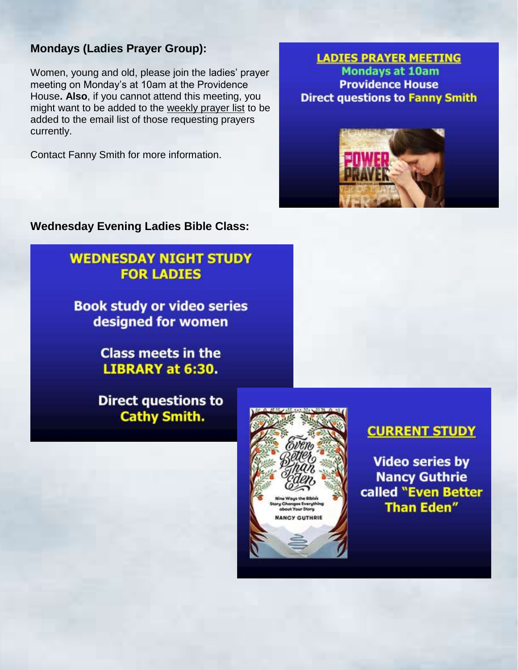#### **Mondays (Ladies Prayer Group):**

Women, young and old, please join the ladies' prayer meeting on Monday's at 10am at the Providence House**. Also**, if you cannot attend this meeting, you might want to be added to the weekly prayer list to be added to the email list of those requesting prayers currently.

Contact Fanny Smith for more information.

#### **LADIES PRAYER MEETING Mondays at 10am Providence House Direct questions to Fanny Smith**



**Wednesday Evening Ladies Bible Class:**

## **WEDNESDAY NIGHT STUDY FOR LADIES**

**Book study or video series** designed for women

> **Class meets in the LIBRARY at 6:30.**

**Direct questions to Cathy Smith.** 





### **CURRENT STUDY**

**Video series by Nancy Guthrie** called "Even Better **Than Eden"**